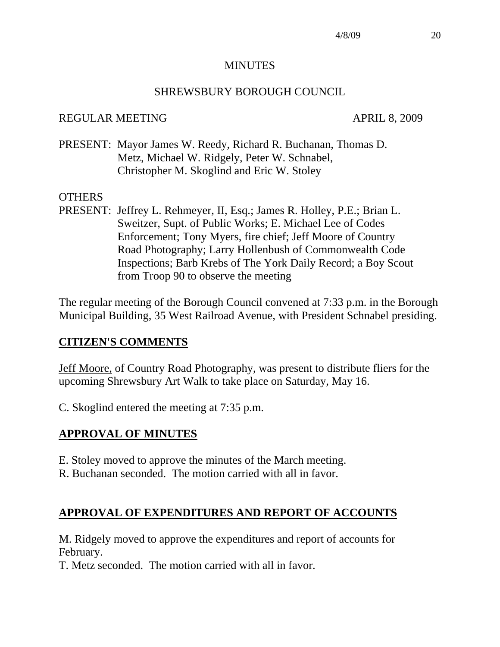#### MINUTES

### SHREWSBURY BOROUGH COUNCIL

### REGULAR MEETING APRIL 8, 2009

PRESENT: Mayor James W. Reedy, Richard R. Buchanan, Thomas D. Metz, Michael W. Ridgely, Peter W. Schnabel, Christopher M. Skoglind and Eric W. Stoley

#### OTHERS

PRESENT: Jeffrey L. Rehmeyer, II, Esq.; James R. Holley, P.E.; Brian L. Sweitzer, Supt. of Public Works; E. Michael Lee of Codes Enforcement; Tony Myers, fire chief; Jeff Moore of Country Road Photography; Larry Hollenbush of Commonwealth Code Inspections; Barb Krebs of The York Daily Record; a Boy Scout from Troop 90 to observe the meeting

The regular meeting of the Borough Council convened at 7:33 p.m. in the Borough Municipal Building, 35 West Railroad Avenue, with President Schnabel presiding.

#### **CITIZEN'S COMMENTS**

Jeff Moore, of Country Road Photography, was present to distribute fliers for the upcoming Shrewsbury Art Walk to take place on Saturday, May 16.

C. Skoglind entered the meeting at 7:35 p.m.

# **APPROVAL OF MINUTES**

- E. Stoley moved to approve the minutes of the March meeting.
- R. Buchanan seconded. The motion carried with all in favor.

# **APPROVAL OF EXPENDITURES AND REPORT OF ACCOUNTS**

M. Ridgely moved to approve the expenditures and report of accounts for February.

T. Metz seconded. The motion carried with all in favor.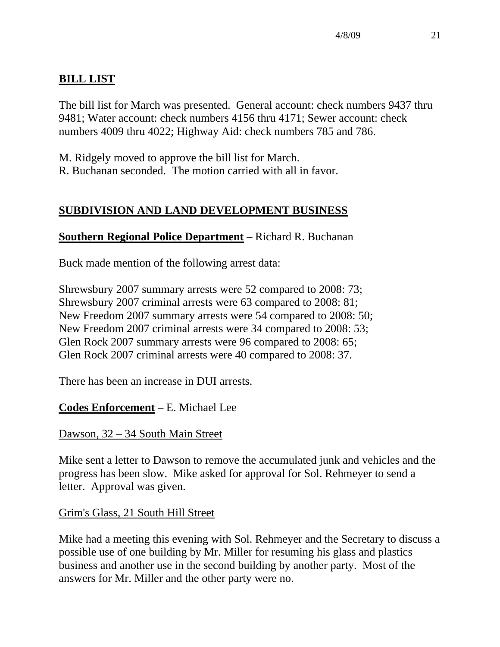# **BILL LIST**

The bill list for March was presented. General account: check numbers 9437 thru 9481; Water account: check numbers 4156 thru 4171; Sewer account: check numbers 4009 thru 4022; Highway Aid: check numbers 785 and 786.

M. Ridgely moved to approve the bill list for March.

R. Buchanan seconded. The motion carried with all in favor.

# **SUBDIVISION AND LAND DEVELOPMENT BUSINESS**

# **Southern Regional Police Department** – Richard R. Buchanan

Buck made mention of the following arrest data:

Shrewsbury 2007 summary arrests were 52 compared to 2008: 73; Shrewsbury 2007 criminal arrests were 63 compared to 2008: 81; New Freedom 2007 summary arrests were 54 compared to 2008: 50; New Freedom 2007 criminal arrests were 34 compared to 2008: 53; Glen Rock 2007 summary arrests were 96 compared to 2008: 65; Glen Rock 2007 criminal arrests were 40 compared to 2008: 37.

There has been an increase in DUI arrests.

# **Codes Enforcement** – E. Michael Lee

# Dawson, 32 – 34 South Main Street

Mike sent a letter to Dawson to remove the accumulated junk and vehicles and the progress has been slow. Mike asked for approval for Sol. Rehmeyer to send a letter. Approval was given.

# Grim's Glass, 21 South Hill Street

Mike had a meeting this evening with Sol. Rehmeyer and the Secretary to discuss a possible use of one building by Mr. Miller for resuming his glass and plastics business and another use in the second building by another party. Most of the answers for Mr. Miller and the other party were no.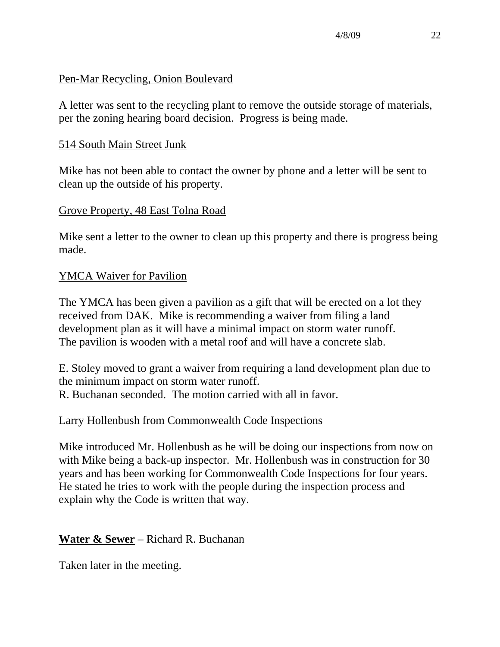### Pen-Mar Recycling, Onion Boulevard

A letter was sent to the recycling plant to remove the outside storage of materials, per the zoning hearing board decision. Progress is being made.

### 514 South Main Street Junk

Mike has not been able to contact the owner by phone and a letter will be sent to clean up the outside of his property.

### Grove Property, 48 East Tolna Road

Mike sent a letter to the owner to clean up this property and there is progress being made.

### YMCA Waiver for Pavilion

The YMCA has been given a pavilion as a gift that will be erected on a lot they received from DAK. Mike is recommending a waiver from filing a land development plan as it will have a minimal impact on storm water runoff. The pavilion is wooden with a metal roof and will have a concrete slab.

E. Stoley moved to grant a waiver from requiring a land development plan due to the minimum impact on storm water runoff. R. Buchanan seconded. The motion carried with all in favor.

#### Larry Hollenbush from Commonwealth Code Inspections

Mike introduced Mr. Hollenbush as he will be doing our inspections from now on with Mike being a back-up inspector. Mr. Hollenbush was in construction for 30 years and has been working for Commonwealth Code Inspections for four years. He stated he tries to work with the people during the inspection process and explain why the Code is written that way.

# **Water & Sewer** – Richard R. Buchanan

Taken later in the meeting.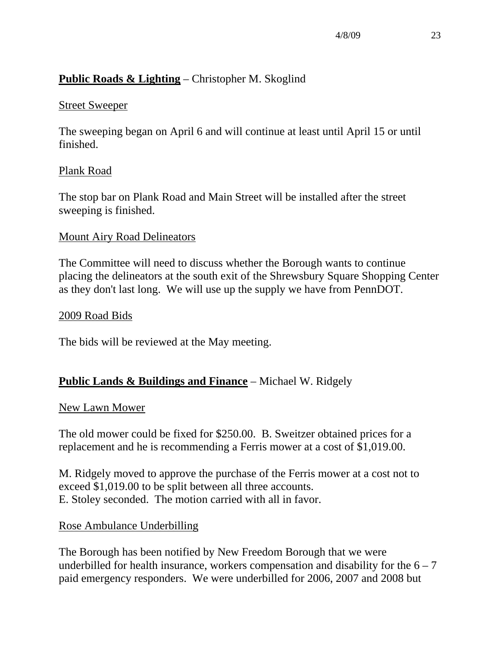# **Public Roads & Lighting** – Christopher M. Skoglind

### Street Sweeper

The sweeping began on April 6 and will continue at least until April 15 or until finished.

# Plank Road

The stop bar on Plank Road and Main Street will be installed after the street sweeping is finished.

### Mount Airy Road Delineators

The Committee will need to discuss whether the Borough wants to continue placing the delineators at the south exit of the Shrewsbury Square Shopping Center as they don't last long. We will use up the supply we have from PennDOT.

#### 2009 Road Bids

The bids will be reviewed at the May meeting.

# **Public Lands & Buildings and Finance** – Michael W. Ridgely

#### New Lawn Mower

The old mower could be fixed for \$250.00. B. Sweitzer obtained prices for a replacement and he is recommending a Ferris mower at a cost of \$1,019.00.

M. Ridgely moved to approve the purchase of the Ferris mower at a cost not to exceed \$1,019.00 to be split between all three accounts. E. Stoley seconded. The motion carried with all in favor.

# Rose Ambulance Underbilling

The Borough has been notified by New Freedom Borough that we were underbilled for health insurance, workers compensation and disability for the  $6 - 7$ paid emergency responders. We were underbilled for 2006, 2007 and 2008 but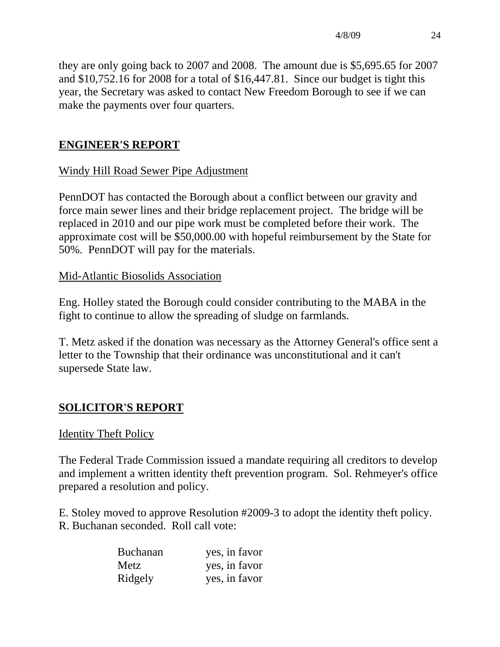they are only going back to 2007 and 2008. The amount due is \$5,695.65 for 2007 and \$10,752.16 for 2008 for a total of \$16,447.81. Since our budget is tight this year, the Secretary was asked to contact New Freedom Borough to see if we can make the payments over four quarters.

# **ENGINEER'S REPORT**

# Windy Hill Road Sewer Pipe Adjustment

PennDOT has contacted the Borough about a conflict between our gravity and force main sewer lines and their bridge replacement project. The bridge will be replaced in 2010 and our pipe work must be completed before their work. The approximate cost will be \$50,000.00 with hopeful reimbursement by the State for 50%. PennDOT will pay for the materials.

# Mid-Atlantic Biosolids Association

Eng. Holley stated the Borough could consider contributing to the MABA in the fight to continue to allow the spreading of sludge on farmlands.

T. Metz asked if the donation was necessary as the Attorney General's office sent a letter to the Township that their ordinance was unconstitutional and it can't supersede State law.

# **SOLICITOR'S REPORT**

#### Identity Theft Policy

The Federal Trade Commission issued a mandate requiring all creditors to develop and implement a written identity theft prevention program. Sol. Rehmeyer's office prepared a resolution and policy.

E. Stoley moved to approve Resolution #2009-3 to adopt the identity theft policy. R. Buchanan seconded. Roll call vote:

| <b>Buchanan</b> | yes, in favor |
|-----------------|---------------|
| Metz            | yes, in favor |
| Ridgely         | yes, in favor |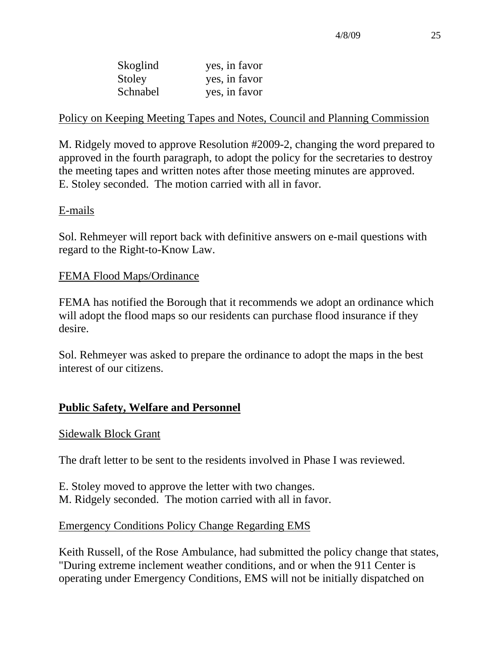| Skoglind | yes, in favor |
|----------|---------------|
| Stoley   | yes, in favor |
| Schnabel | yes, in favor |

### Policy on Keeping Meeting Tapes and Notes, Council and Planning Commission

M. Ridgely moved to approve Resolution #2009-2, changing the word prepared to approved in the fourth paragraph, to adopt the policy for the secretaries to destroy the meeting tapes and written notes after those meeting minutes are approved. E. Stoley seconded. The motion carried with all in favor.

#### E-mails

Sol. Rehmeyer will report back with definitive answers on e-mail questions with regard to the Right-to-Know Law.

#### FEMA Flood Maps/Ordinance

FEMA has notified the Borough that it recommends we adopt an ordinance which will adopt the flood maps so our residents can purchase flood insurance if they desire.

Sol. Rehmeyer was asked to prepare the ordinance to adopt the maps in the best interest of our citizens.

#### **Public Safety, Welfare and Personnel**

#### Sidewalk Block Grant

The draft letter to be sent to the residents involved in Phase I was reviewed.

E. Stoley moved to approve the letter with two changes. M. Ridgely seconded. The motion carried with all in favor.

#### Emergency Conditions Policy Change Regarding EMS

Keith Russell, of the Rose Ambulance, had submitted the policy change that states, "During extreme inclement weather conditions, and or when the 911 Center is operating under Emergency Conditions, EMS will not be initially dispatched on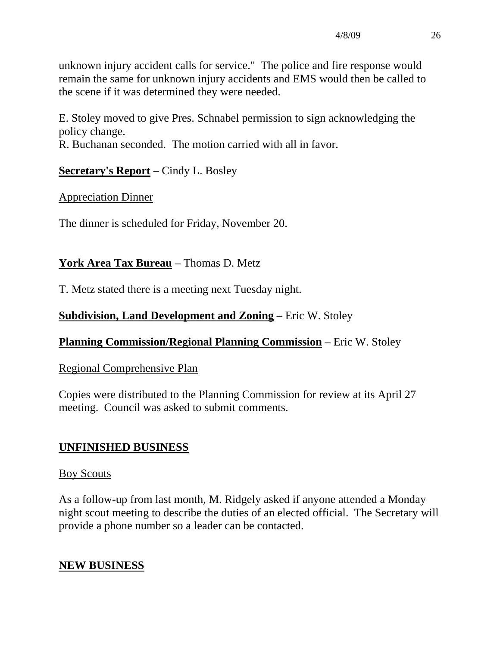unknown injury accident calls for service." The police and fire response would remain the same for unknown injury accidents and EMS would then be called to the scene if it was determined they were needed.

E. Stoley moved to give Pres. Schnabel permission to sign acknowledging the policy change.

R. Buchanan seconded. The motion carried with all in favor.

# **Secretary's Report** – Cindy L. Bosley

Appreciation Dinner

The dinner is scheduled for Friday, November 20.

# **York Area Tax Bureau** – Thomas D. Metz

T. Metz stated there is a meeting next Tuesday night.

# **Subdivision, Land Development and Zoning** – Eric W. Stoley

# **Planning Commission/Regional Planning Commission** – Eric W. Stoley

# Regional Comprehensive Plan

Copies were distributed to the Planning Commission for review at its April 27 meeting. Council was asked to submit comments.

# **UNFINISHED BUSINESS**

# Boy Scouts

As a follow-up from last month, M. Ridgely asked if anyone attended a Monday night scout meeting to describe the duties of an elected official. The Secretary will provide a phone number so a leader can be contacted.

# **NEW BUSINESS**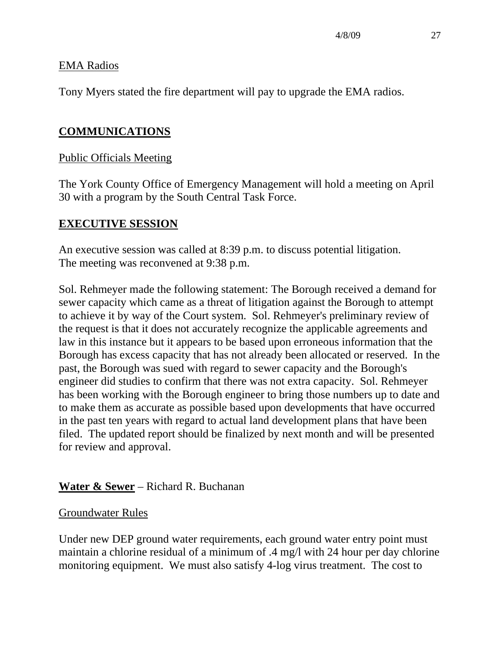#### EMA Radios

Tony Myers stated the fire department will pay to upgrade the EMA radios.

# **COMMUNICATIONS**

### Public Officials Meeting

The York County Office of Emergency Management will hold a meeting on April 30 with a program by the South Central Task Force.

#### **EXECUTIVE SESSION**

An executive session was called at 8:39 p.m. to discuss potential litigation. The meeting was reconvened at 9:38 p.m.

Sol. Rehmeyer made the following statement: The Borough received a demand for sewer capacity which came as a threat of litigation against the Borough to attempt to achieve it by way of the Court system. Sol. Rehmeyer's preliminary review of the request is that it does not accurately recognize the applicable agreements and law in this instance but it appears to be based upon erroneous information that the Borough has excess capacity that has not already been allocated or reserved. In the past, the Borough was sued with regard to sewer capacity and the Borough's engineer did studies to confirm that there was not extra capacity. Sol. Rehmeyer has been working with the Borough engineer to bring those numbers up to date and to make them as accurate as possible based upon developments that have occurred in the past ten years with regard to actual land development plans that have been filed. The updated report should be finalized by next month and will be presented for review and approval.

#### **Water & Sewer** – Richard R. Buchanan

#### Groundwater Rules

Under new DEP ground water requirements, each ground water entry point must maintain a chlorine residual of a minimum of .4 mg/l with 24 hour per day chlorine monitoring equipment. We must also satisfy 4-log virus treatment. The cost to